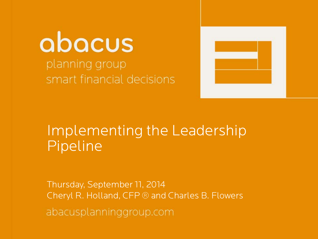abacus planning group smart financial decisions



# Implementing the Leadership Pipeline

Thursday, September 11, 2014 Cheryl R. Holland, CFP ® and Charles B. Flowersabacusplanninggroup.com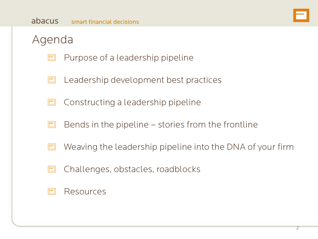

### Agenda

- Purpose of a leadership pipeline  $\Box$
- Leadership development best practices  $\Box$
- Constructing a leadership pipeline  $\blacksquare$
- Bends in the pipeline stories from the frontline E
- 曰 Weaving the leadership pipeline into the DNA of your firm
- Challenges, obstacles, roadblocks  $\Box$

#### E Resources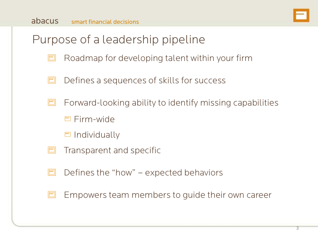

## Purpose of a leadership pipeline

- E Roadmap for developing talent within your firm
- Defines a sequences of skills for success  $\Box$
- $\Box$ Forward-looking ability to identify missing capabilities
	- □ Firm-wide
	- $\Box$  Individually
- Transparent and specific  $\Box$
- E Defines the "how" – expected behaviors
- Empowers team members to guide their own career  $\Box$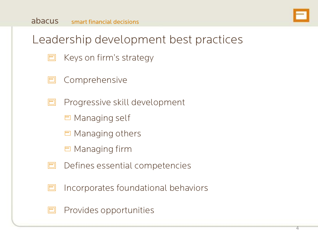

## Leadership development best practices

- Keys on firm's strategy  $\Box$
- Comprehensive  $\Box$
- Progressive skill development E
	- **E** Managing self
	- **E** Managing others
	- **E** Managing firm
- Defines essential competencies  $\Box$
- Incorporates foundational behaviors  $\Box$
- Provides opportunities  $\Box$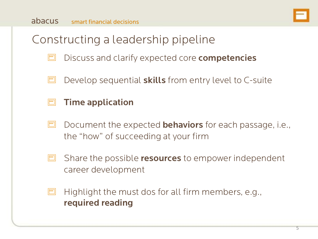

## Constructing a leadership pipeline

- $\Box$ Discuss and clarify expected core **competencies**
- Develop sequential **skills** from entry level to C-suite  $\Box$

#### $\Box$ Time application

- Document the expected **behaviors** for each passage, i.e.,  $\Box$ the "how" of succeeding at your firm
- $\Box$ Share the possible resources to empower independent career development
- Highlight the must dos for all firm members, e.g., E required reading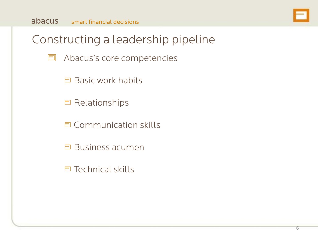

## Constructing a leadership pipeline

- $\Box$ Abacus's core competencies
	- $\Box$  Basic work habits
	- Relationships
	- **E** Communication skills
	- $\Box$  Business acumen
	- $\Box$  Technical skills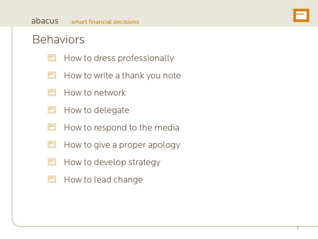## Behaviors

- $\blacksquare$ How to dress professionally
- How to write a thank you note  $\Box$
- E How to network
- $\Box$ How to delegate
- How to respond to the media E
- How to give a proper apology  $\Box$
- $\Box$ How to develop strategy
- How to lead change  $\blacksquare$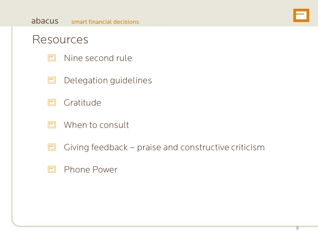

#### Resources

- Nine second rule  $\Box$
- $\Box$ Delegation guidelines
- $\Box$ **Gratitude**
- $\Box$ When to consult
- $\Box$ Giving feedback – praise and constructive criticism

#### $\Box$ Phone Power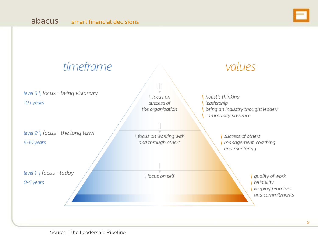

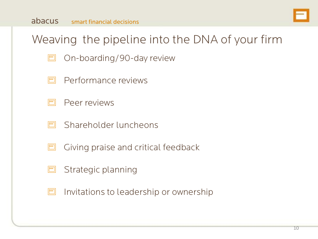

## Weaving the pipeline into the DNA of your firm

- On-boarding/90-day review E
- Performance reviews F
- F Peer reviews
- FI Shareholder luncheons
- Giving praise and critical feedback  $\blacksquare$
- Strategic planning  $\blacksquare$
- $\Box$ Invitations to leadership or ownership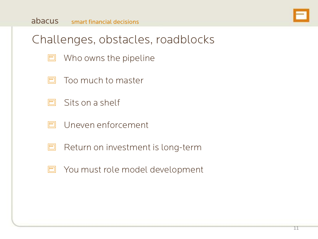

## Challenges, obstacles, roadblocks

- $\blacksquare$ Who owns the pipeline
- Too much to master F
- $\Box$ Sits on a shelf
- Uneven enforcement F
- $\Box$ Return on investment is long-term
- □ You must role model development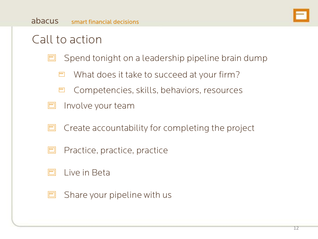## Call to action

- Spend tonight on a leadership pipeline brain dump  $\Box$ 
	- What does it take to succeed at your firm?
	- Competencies, skills, behaviors, resources 曰
- Involve your team  $\Box$
- Create accountability for completing the project  $\Box$
- Practice, practice, practice  $\Box$
- E Live in Beta
- Share your pipeline with us  $\Box$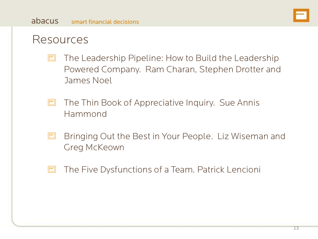

### Resources

- The Leadership Pipeline: How to Build the Leadership  $\Box$ Powered Company. Ram Charan, Stephen Drotter and James Noel
- $\Box$ The Thin Book of Appreciative Inquiry. Sue Annis Hammond
- Bringing Out the Best in Your People. Liz Wiseman and E Greg McKeown
- $\Box$ The Five Dysfunctions of a Team. Patrick Lencioni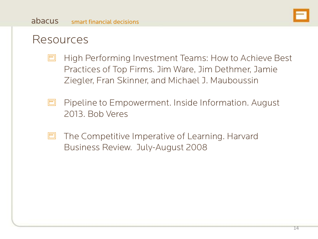

#### Resources

- High Performing Investment Teams: How to Achieve Best  $\Box$ Practices of Top Firms. Jim Ware, Jim Dethmer, Jamie Ziegler, Fran Skinner, and Michael J. Mauboussin
- $\Box$ Pipeline to Empowerment. Inside Information. August 2013. Bob Veres
- The Competitive Imperative of Learning. Harvard E Business Review. July-August 2008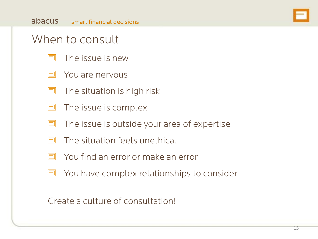### When to consult

- E The issue is new
- E You are nervous
- The situation is high risk E
- $\Box$ The issue is complex
- The issue is outside your area of expertise  $\Box$
- The situation feels unethical E
- F You find an error or make an error
- You have complex relationships to consider  $\Box$

Create a culture of consultation!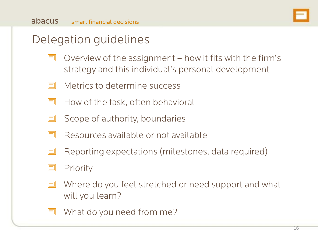## Delegation guidelines

- Overview of the assignment how it fits with the firm's  $\Box$ strategy and this individual's personal development
- Metrics to determine success E
- $\Box$ How of the task, often behavioral
- $\Box$ Scope of authority, boundaries
- E Resources available or not available
- Reporting expectations (milestones, data required)  $\Box$
- E Priority
- E Where do you feel stretched or need support and what will you learn?
- E What do you need from me?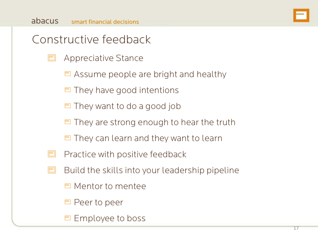

## Constructive feedback

- $\Box$ Appreciative Stance
	- $\Box$  Assume people are bright and healthy
	- $\Box$  They have good intentions
	- $\Box$  They want to do a good job
	- $\Box$  They are strong enough to hear the truth
	- $\Box$  They can learn and they want to learn
- $\Box$ Practice with positive feedback
- $\Box$ Build the skills into your leadership pipeline
	- Mentor to mentee
	- □ Peer to peer
	- **□ Employee to boss**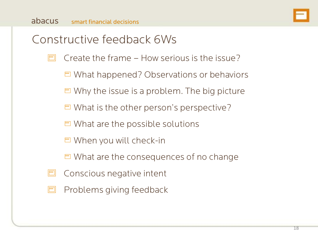

## Constructive feedback 6Ws

- E Create the frame – How serious is the issue?
	- What happened? Observations or behaviors
	- $\Box$  Why the issue is a problem. The big picture
	- $\Box$  What is the other person's perspective?
	- $\Box$  What are the possible solutions
	- When you will check-in
	- $\Box$  What are the consequences of no change
- $\Box$ Conscious negative intent
- Problems giving feedback  $\Box$